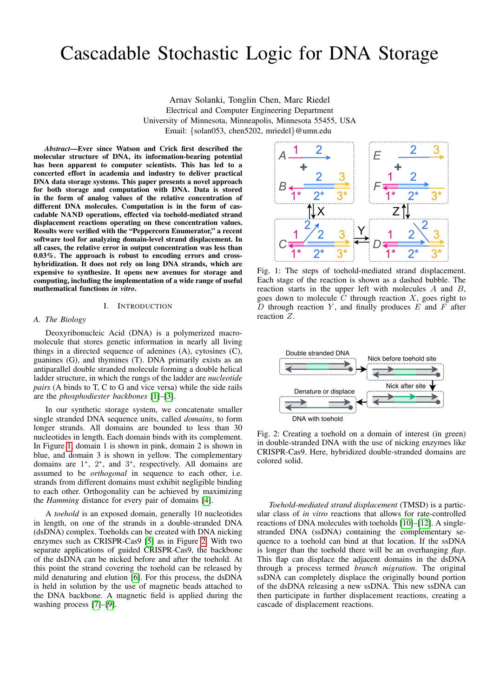# Cascadable Stochastic Logic for DNA Storage

Arnav Solanki, Tonglin Chen, Marc Riedel Electrical and Computer Engineering Department University of Minnesota, Minneapolis, Minnesota 55455, USA Email: {solan053, chen5202, mriedel}@umn.edu

*Abstract*—Ever since Watson and Crick first described the molecular structure of DNA, its information-bearing potential has been apparent to computer scientists. This has led to a concerted effort in academia and industry to deliver practical DNA data storage systems. This paper presents a novel approach for both storage and computation with DNA. Data is stored in the form of analog values of the relative concentration of different DNA molecules. Computation is in the form of cascadable NAND operations, effected via toehold-mediated strand displacement reactions operating on these concentration values. Results were verified with the "Peppercorn Enumerator," a recent software tool for analyzing domain-level strand displacement. In all cases, the relative error in output concentration was less than 0.03%. The approach is robust to encoding errors and crosshybridization. It does not rely on long DNA strands, which are expensive to synthesize. It opens new avenues for storage and computing, including the implementation of a wide range of useful mathematical functions *in vitro*.

## I. INTRODUCTION

# *A. The Biology*

Deoxyribonucleic Acid (DNA) is a polymerized macromolecule that stores genetic information in nearly all living things in a directed sequence of adenines (A), cytosines (C), guanines (G), and thymines (T). DNA primarily exists as an antiparallel double stranded molecule forming a double helical ladder structure, in which the rungs of the ladder are *nucleotide pairs* (A binds to T, C to G and vice versa) while the side rails are the *phosphodiester backbones* [\[1\]](#page-3-0)–[\[3\]](#page-3-1).

In our synthetic storage system, we concatenate smaller single stranded DNA sequence units, called *domains*, to form longer strands. All domains are bounded to less than 30 nucleotides in length. Each domain binds with its complement. In Figure [1,](#page-0-0) domain 1 is shown in pink, domain 2 is shown in blue, and domain 3 is shown in yellow. The complementary domains are  $1^*$ ,  $2^*$ , and  $3^*$ , respectively. All domains are assumed to be *orthogonal* in sequence to each other, i.e. strands from different domains must exhibit negligible binding to each other. Orthogonality can be achieved by maximizing the *Hamming* distance for every pair of domains [\[4\]](#page-3-2).

A *toehold* is an exposed domain, generally 10 nucleotides in length, on one of the strands in a double-stranded DNA (dsDNA) complex. Toeholds can be created with DNA nicking enzymes such as CRISPR-Cas9 [\[5\]](#page-3-3) as in Figure [2.](#page-0-1) With two separate applications of guided CRISPR-Cas9, the backbone of the dsDNA can be nicked before and after the toehold. At this point the strand covering the toehold can be released by mild denaturing and elution [\[6\]](#page-3-4). For this process, the dsDNA is held in solution by the use of magnetic beads attached to the DNA backbone. A magnetic field is applied during the washing process [\[7\]](#page-4-0)–[\[9\]](#page-4-1).

<span id="page-0-0"></span>

Fig. 1: The steps of toehold-mediated strand displacement. Each stage of the reaction is shown as a dashed bubble. The reaction starts in the upper left with molecules A and B, goes down to molecule  $\overline{C}$  through reaction X, goes right to D through reaction  $Y$ , and finally produces  $E$  and  $F$  after reaction Z.

<span id="page-0-1"></span>

Fig. 2: Creating a toehold on a domain of interest (in green) in double-stranded DNA with the use of nicking enzymes like CRISPR-Cas9. Here, hybridized double-stranded domains are colored solid.

*Toehold-mediated strand displacement* (TMSD) is a particular class of *in vitro* reactions that allows for rate-controlled reactions of DNA molecules with toeholds [\[10\]](#page-4-2)–[\[12\]](#page-4-3). A singlestranded DNA (ssDNA) containing the complementary sequence to a toehold can bind at that location. If the ssDNA is longer than the toehold there will be an overhanging *flap*. This flap can displace the adjacent domains in the dsDNA through a process termed *branch migration*. The original ssDNA can completely displace the originally bound portion of the dsDNA releasing a new ssDNA. This new ssDNA can then participate in further displacement reactions, creating a cascade of displacement reactions.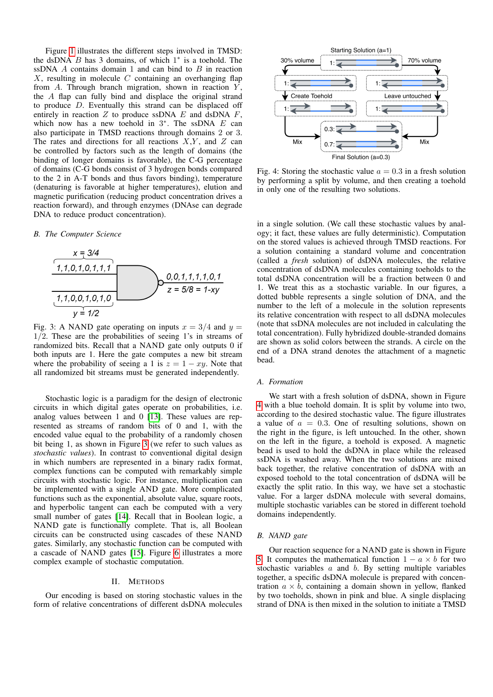Figure [1](#page-0-0) illustrates the different steps involved in TMSD: the dsDNA  $B$  has 3 domains, of which  $1^*$  is a toehold. The ssDNA  $\vec{A}$  contains domain 1 and can bind to  $\vec{B}$  in reaction  $X$ , resulting in molecule  $C$  containing an overhanging flap from  $A$ . Through branch migration, shown in reaction  $Y$ , the A flap can fully bind and displace the original strand to produce D. Eventually this strand can be displaced off entirely in reaction  $Z$  to produce ssDNA  $E$  and dsDNA  $F$ , which now has a new toehold in  $3^*$ . The ssDNA  $E$  can also participate in TMSD reactions through domains 2 or 3. The rates and directions for all reactions  $X,Y$ , and  $Z$  can be controlled by factors such as the length of domains (the binding of longer domains is favorable), the C-G percentage of domains (C-G bonds consist of 3 hydrogen bonds compared to the 2 in A-T bonds and thus favors binding), temperature (denaturing is favorable at higher temperatures), elution and magnetic purification (reducing product concentration drives a reaction forward), and through enzymes (DNAse can degrade DNA to reduce product concentration).

## *B. The Computer Science*

<span id="page-1-0"></span>

Fig. 3: A NAND gate operating on inputs  $x = 3/4$  and  $y =$ 1/2. These are the probabilities of seeing 1's in streams of randomized bits. Recall that a NAND gate only outputs 0 if both inputs are 1. Here the gate computes a new bit stream where the probability of seeing a 1 is  $z = 1 - xy$ . Note that all randomized bit streams must be generated independently.

Stochastic logic is a paradigm for the design of electronic circuits in which digital gates operate on probabilities, i.e. analog values between 1 and 0 [\[13\]](#page-4-4). These values are represented as streams of random bits of 0 and 1, with the encoded value equal to the probability of a randomly chosen bit being 1, as shown in Figure [3](#page-1-0) (we refer to such values as *stochastic values*). In contrast to conventional digital design in which numbers are represented in a binary radix format, complex functions can be computed with remarkably simple circuits with stochastic logic. For instance, multiplication can be implemented with a single AND gate. More complicated functions such as the exponential, absolute value, square roots, and hyperbolic tangent can each be computed with a very small number of gates [\[14\]](#page-4-5). Recall that in Boolean logic, a NAND gate is functionally complete. That is, all Boolean circuits can be constructed using cascades of these NAND gates. Similarly, any stochastic function can be computed with a cascade of NAND gates [\[15\]](#page-4-6). Figure [6](#page-3-5) illustrates a more complex example of stochastic computation.

# II. METHODS

Our encoding is based on storing stochastic values in the form of relative concentrations of different dsDNA molecules

<span id="page-1-1"></span>

Fig. 4: Storing the stochastic value  $a = 0.3$  in a fresh solution by performing a split by volume, and then creating a toehold in only one of the resulting two solutions.

in a single solution. (We call these stochastic values by analogy; it fact, these values are fully deterministic). Computation on the stored values is achieved through TMSD reactions. For a solution containing a standard volume and concentration (called a *fresh* solution) of dsDNA molecules, the relative concentration of dsDNA molecules containing toeholds to the total dsDNA concentration will be a fraction between 0 and 1. We treat this as a stochastic variable. In our figures, a dotted bubble represents a single solution of DNA, and the number to the left of a molecule in the solution represents its relative concentration with respect to all dsDNA molecules (note that ssDNA molecules are not included in calculating the total concentration). Fully hybridized double-stranded domains are shown as solid colors between the strands. A circle on the end of a DNA strand denotes the attachment of a magnetic bead.

# *A. Formation*

We start with a fresh solution of dsDNA, shown in Figure [4](#page-1-1) with a blue toehold domain. It is split by volume into two, according to the desired stochastic value. The figure illustrates a value of  $a = 0.3$ . One of resulting solutions, shown on the right in the figure, is left untouched. In the other, shown on the left in the figure, a toehold is exposed. A magnetic bead is used to hold the dsDNA in place while the released ssDNA is washed away. When the two solutions are mixed back together, the relative concentration of dsDNA with an exposed toehold to the total concentration of dsDNA will be exactly the split ratio. In this way, we have set a stochastic value. For a larger dsDNA molecule with several domains, multiple stochastic variables can be stored in different toehold domains independently.

#### *B. NAND gate*

Our reaction sequence for a NAND gate is shown in Figure [5.](#page-2-0) It computes the mathematical function  $1 - a \times b$  for two stochastic variables  $a$  and  $b$ . By setting multiple variables together, a specific dsDNA molecule is prepared with concentration  $a \times b$ , containing a domain shown in yellow, flanked by two toeholds, shown in pink and blue. A single displacing strand of DNA is then mixed in the solution to initiate a TMSD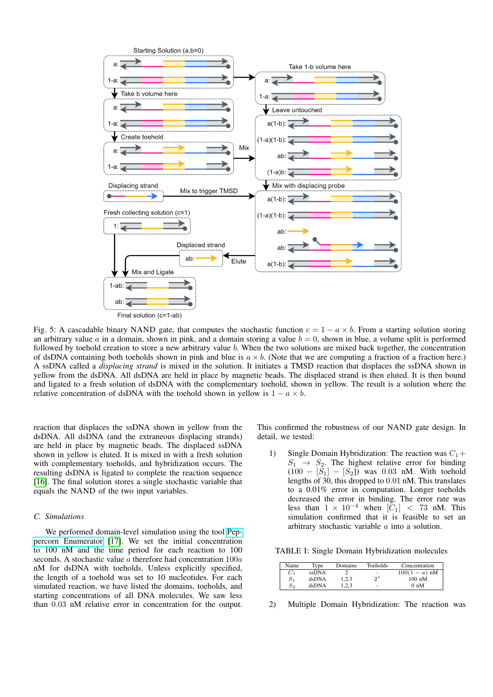<span id="page-2-0"></span>

Fig. 5: A cascadable binary NAND gate, that computes the stochastic function  $c = 1 - a \times b$ . From a starting solution storing an arbitrary value a in a domain, shown in pink, and a domain storing a value  $b = 0$ , shown in blue, a volume split is performed followed by toehold creation to store a new arbitrary value b. When the two solutions are mixed back together, the concentration of dsDNA containing both toeholds shown in pink and blue is  $a \times b$ . (Note that we are computing a fraction of a fraction here.) A ssDNA called a *displacing strand* is mixed in the solution. It initiates a TMSD reaction that displaces the ssDNA shown in yellow from the dsDNA. All dsDNA are held in place by magnetic beads. The displaced strand is then eluted. It is then bound and ligated to a fresh solution of dsDNA with the complementary toehold, shown in yellow. The result is a solution where the relative concentration of dsDNA with the toehold shown in yellow is  $1 - a \times b$ .

reaction that displaces the ssDNA shown in yellow from the dsDNA. All dsDNA (and the extraneous displacing strands) are held in place by magnetic beads. The displaced ssDNA shown in yellow is eluted. It is mixed in with a fresh solution with complementary toeholds, and hybridization occurs. The resulting dsDNA is ligated to complete the reaction sequence [\[16\]](#page-4-7). The final solution stores a single stochastic variable that equals the NAND of the two input variables.

# *C. Simulations*

We performed domain-level simulation using the tool [Pep](https://github.com/DNA-and-Natural-Algorithms-Group/peppercornenumerator)[percorn Enumerator](https://github.com/DNA-and-Natural-Algorithms-Group/peppercornenumerator) [\[17\]](#page-4-8). We set the initial concentration to 100 nM and the time period for each reaction to 100 seconds. A stochastic value  $a$  therefore had concentration  $100a$ nM for dsDNA with toeholds. Unless explicitly specified, the length of a toehold was set to 10 nucleotides. For each simulated reaction, we have listed the domains, toeholds, and starting concentrations of all DNA molecules. We saw less than 0.03 nM relative error in concentration for the output.

This confirmed the robustness of our NAND gate design. In detail, we tested:

1) Single Domain Hybridization: The reaction was  $C_1$  +  $S_1 \rightarrow S_2$ . The highest relative error for binding  $(100 - [S_1] - [S_2])$  was 0.03 nM. With toehold lengths of 30, this dropped to 0.01 nM. This translates to a 0.01% error in computation. Longer toeholds decreased the error in binding. The error rate was less than  $1 \times 10^{-4}$  when  $[C_1] < 73$  nM. This simulation confirmed that it is feasible to set an arbitrary stochastic variable a into a solution.

|  | TABLE I: Single Domain Hybridization molecules |  |
|--|------------------------------------------------|--|
|  |                                                |  |

| Name  | Tvpe         | Domains | <b>Toeholds</b>          | Concentration    |
|-------|--------------|---------|--------------------------|------------------|
| $C_1$ | <b>ssDNA</b> |         | $\overline{\phantom{a}}$ | $100(1 - a)$ nM  |
| $S_1$ | dsDNA        | 1.2.3   | $2^*$                    | $100 \text{ nM}$ |
| $S_2$ | dsDNA        | 1.2.3   | ٠                        | 0 <sub>n</sub> M |

2) Multiple Domain Hybridization: The reaction was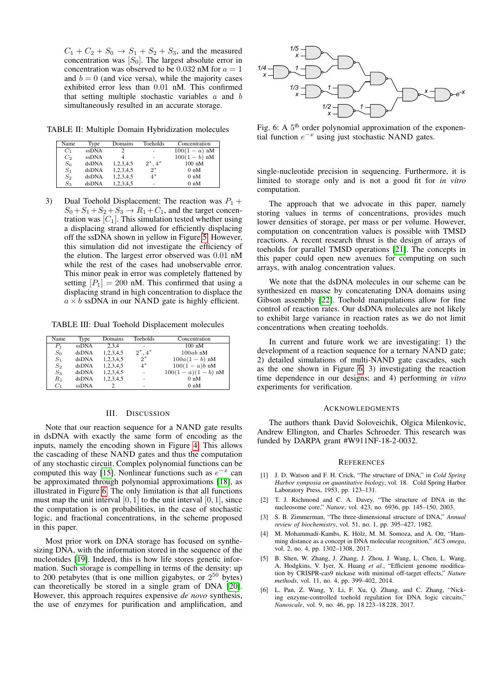$C_1 + C_2 + S_0 \rightarrow S_1 + S_2 + S_3$ , and the measured concentration was  $[S_0]$ . The largest absolute error in concentration was observed to be 0.032 nM for  $a = 1$ and  $b = 0$  (and vice versa), while the majority cases exhibited error less than 0.01 nM. This confirmed that setting multiple stochastic variables  $a$  and  $b$ simultaneously resulted in an accurate storage.

TABLE II: Multiple Domain Hybridization molecules

| Name  | Type  | Domains   | Toeholds                 | Concentration             |
|-------|-------|-----------|--------------------------|---------------------------|
| $C_1$ | ssDNA |           | $\overline{\phantom{a}}$ | $\frac{100(1-a)}{100}$ nM |
| $C_2$ | ssDNA |           | $\overline{\phantom{a}}$ | $100(1-b)$ nM             |
| $S_0$ | dsDNA | 1,2,3,4,5 | $2^*$ , $4^*$            | $100 \text{ nM}$          |
| $S_1$ | dsDNA | 1,2,3,4,5 | $2^*$                    | $0 \text{ nM}$            |
| $S_2$ | dsDNA | 1,2,3,4,5 | $4^*$                    | $0 \text{ nM}$            |
| $S_3$ | dsDNA | 1.2.3.4.5 |                          | $0 \text{ nM}$            |

3) Dual Toehold Displacement: The reaction was  $P_1$  +  $S_0 + S_1 + S_2 + S_3 \rightarrow R_1 + C_1$ , and the target concentration was  $[C_1]$ . This simulation tested whether using a displacing strand allowed for efficiently displacing off the ssDNA shown in yellow in Figure [5.](#page-2-0) However, this simulation did not investigate the efficiency of the elution. The largest error observed was 0.01 nM while the rest of the cases had unobservable error. This minor peak in error was completely flattened by setting  $[P_1] = 200$  nM. This confirmed that using a displacing strand in high concentration to displace the  $a \times b$  ssDNA in our NAND gate is highly efficient.

TABLE III: Dual Toehold Displacement molecules

| Name    | Type         | Domains   | Toeholds                 | Concentration      |
|---------|--------------|-----------|--------------------------|--------------------|
| $P_1$   | ssDNA        | 2.3.4     |                          | $100 \text{ nM}$   |
| $S_0$   | dsDNA        | 1,2,3,4,5 | $2^*$ , $4^*$            | $100ab$ nM         |
| $S_1$   | dsDNA        | 1,2,3,4,5 | $2^*$                    | $100a(1-b)$ nM     |
| $S_2$   | dsDNA        | 1,2,3,4,5 | $4^*$                    | $100(1 - a)b$ nM   |
| $S_3$   | dsDNA        | 1,2,3,4,5 | $\overline{\phantom{a}}$ | $100(1-a)(1-b)$ nM |
| $R_{1}$ | dsDNA        | 1,2,3,4,5 | ٠                        | $0 \text{ nM}$     |
| $C_1$   | <b>ssDNA</b> |           | -                        | $0 \text{ nM}$     |

#### III. DISCUSSION

Note that our reaction sequence for a NAND gate results in dsDNA with exactly the same form of encoding as the inputs, namely the encoding shown in Figure [4.](#page-1-1) This allows the cascading of these NAND gates and thus the computation of any stochastic circuit. Complex polynomial functions can be computed this way [\[15\]](#page-4-6). Nonlinear functions such as  $e^{-x}$  can be approximated through polynomial approximations [\[18\]](#page-4-9), as illustrated in Figure [6.](#page-3-5) The only limitation is that all functions must map the unit interval  $[0, 1]$  to the unit interval  $[0, 1]$ , since the computation is on probabilities, in the case of stochastic logic, and fractional concentrations, in the scheme proposed in this paper.

Most prior work on DNA storage has focused on synthesizing DNA, with the information stored in the sequence of the nucleotides [\[19\]](#page-4-10). Indeed, this is how life stores genetic information. Such storage is compelling in terms of the density: up to 200 petabytes (that is one million gigabytes, or  $2^{50}$  bytes) can theoretically be stored in a single gram of DNA [\[20\]](#page-4-11). However, this approach requires expensive *de novo* synthesis, the use of enzymes for purification and amplification, and

<span id="page-3-5"></span>

Fig. 6: A  $5<sup>th</sup>$  order polynomial approximation of the exponential function  $e^{-x}$  using just stochastic NAND gates.

single-nucleotide precision in sequencing. Furthermore, it is limited to storage only and is not a good fit for *in vitro* computation.

The approach that we advocate in this paper, namely storing values in terms of concentrations, provides much lower densities of storage, per mass or per volume. However, computation on concentration values is possible with TMSD reactions. A recent research thrust is the design of arrays of toeholds for parallel TMSD operations [\[21\]](#page-4-12). The concepts in this paper could open new avenues for computing on such arrays, with analog concentration values.

We note that the dsDNA molecules in our scheme can be synthesized en masse by concatenating DNA domains using Gibson assembly [\[22\]](#page-4-13). Toehold manipulations allow for fine control of reaction rates. Our dsDNA molecules are not likely to exhibit large variance in reaction rates as we do not limit concentrations when creating toeholds.

In current and future work we are investigating: 1) the development of a reaction sequence for a ternary NAND gate; 2) detailed simulations of multi-NAND gate cascades, such as the one shown in Figure [6;](#page-3-5) 3) investigating the reaction time dependence in our designs; and 4) performing *in vitro* experiments for verification.

#### ACKNOWLEDGMENTS

The authors thank David Soloveichik, Olgica Milenkovic, Andrew Ellington, and Charles Schroeder. This research was funded by DARPA grant #W911NF-18-2-0032.

## **REFERENCES**

- <span id="page-3-0"></span>[1] J. D. Watson and F. H. Crick, "The structure of DNA," in *Cold Spring Harbor symposia on quantitative biology*, vol. 18. Cold Spring Harbor Laboratory Press, 1953, pp. 123–131.
- [2] T. J. Richmond and C. A. Davey, "The structure of DNA in the nucleosome core," *Nature*, vol. 423, no. 6936, pp. 145–150, 2003.
- <span id="page-3-1"></span>[3] S. B. Zimmerman, "The three-dimensional structure of DNA," *Annual review of biochemistry*, vol. 51, no. 1, pp. 395–427, 1982.
- <span id="page-3-2"></span>[4] M. Mohammadi-Kambs, K. Hölz, M. M. Somoza, and A. Ott, "Hamming distance as a concept in DNA molecular recognition," *ACS omega*, vol. 2, no. 4, pp. 1302-1308, 2017.
- <span id="page-3-3"></span>[5] B. Shen, W. Zhang, J. Zhang, J. Zhou, J. Wang, L. Chen, L. Wang, A. Hodgkins, V. Iyer, X. Huang *et al.*, "Efficient genome modification by CRISPR-cas9 nickase with minimal off-target effects," *Nature methods*, vol. 11, no. 4, pp. 399–402, 2014.
- <span id="page-3-4"></span>L. Pan, Z. Wang, Y. Li, F. Xu, Q. Zhang, and C. Zhang, "Nicking enzyme-controlled toehold regulation for DNA logic circuits," *Nanoscale*, vol. 9, no. 46, pp. 18 223–18 228, 2017.